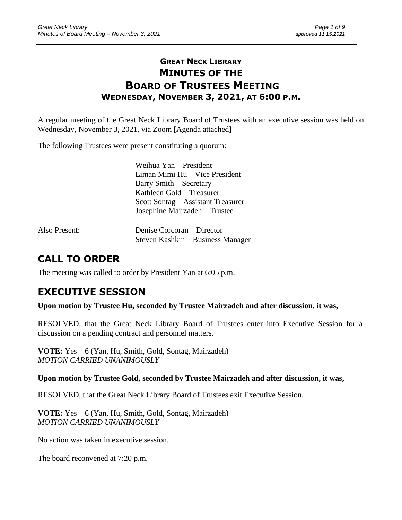## **GREAT NECK LIBRARY MINUTES OF THE BOARD OF TRUSTEES MEETING WEDNESDAY, NOVEMBER 3, 2021, AT 6:00 P.M.**

\_\_\_\_\_\_\_\_\_\_\_\_\_\_\_\_\_\_\_\_\_\_\_\_\_\_\_\_\_\_\_\_\_\_\_\_\_\_\_\_\_\_\_\_\_\_\_\_\_\_\_\_\_\_\_\_\_\_\_\_\_\_\_\_\_\_\_\_ \_\_\_\_\_\_\_\_\_\_\_\_\_\_\_\_\_\_\_\_\_\_\_\_\_

A regular meeting of the Great Neck Library Board of Trustees with an executive session was held on Wednesday, November 3, 2021, via Zoom [Agenda attached]

The following Trustees were present constituting a quorum:

Weihua Yan – President Liman Mimi Hu – Vice President Barry Smith – Secretary Kathleen Gold – Treasurer Scott Sontag – Assistant Treasurer Josephine Mairzadeh – Trustee

| Also Present: | Denise Corcoran – Director        |
|---------------|-----------------------------------|
|               | Steven Kashkin – Business Manager |

# **CALL TO ORDER**

The meeting was called to order by President Yan at 6:05 p.m.

## **EXECUTIVE SESSION**

**Upon motion by Trustee Hu, seconded by Trustee Mairzadeh and after discussion, it was,**

RESOLVED, that the Great Neck Library Board of Trustees enter into Executive Session for a discussion on a pending contract and personnel matters.

**VOTE:** Yes – 6 (Yan, Hu, Smith, Gold, Sontag, Mairzadeh) *MOTION CARRIED UNANIMOUSLY* 

### **Upon motion by Trustee Gold, seconded by Trustee Mairzadeh and after discussion, it was,**

RESOLVED, that the Great Neck Library Board of Trustees exit Executive Session.

**VOTE:** Yes – 6 (Yan, Hu, Smith, Gold, Sontag, Mairzadeh) *MOTION CARRIED UNANIMOUSLY*

No action was taken in executive session.

The board reconvened at 7:20 p.m.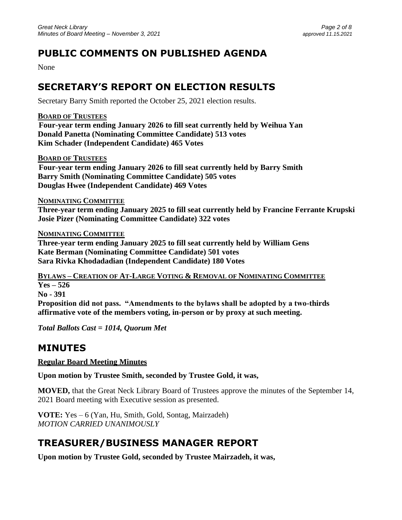# **PUBLIC COMMENTS ON PUBLISHED AGENDA**

None

# **SECRETARY'S REPORT ON ELECTION RESULTS**

Secretary Barry Smith reported the October 25, 2021 election results.

**BOARD OF TRUSTEES**

 **Four-year term ending January 2026 to fill seat currently held by Weihua Yan Donald Panetta (Nominating Committee Candidate) 513 votes Kim Schader (Independent Candidate) 465 Votes**

**BOARD OF TRUSTEES**

 **Four-year term ending January 2026 to fill seat currently held by Barry Smith Barry Smith (Nominating Committee Candidate) 505 votes Douglas Hwee (Independent Candidate) 469 Votes**

**NOMINATING COMMITTEE**

**Three-year term ending January 2025 to fill seat currently held by Francine Ferrante Krupski Josie Pizer (Nominating Committee Candidate) 322 votes**

**NOMINATING COMMITTEE**

**Three-year term ending January 2025 to fill seat currently held by William Gens Kate Berman (Nominating Committee Candidate) 501 votes Sara Rivka Khodadadian (Independent Candidate) 180 Votes**

**BYLAWS – CREATION OF AT-LARGE VOTING & REMOVAL OF NOMINATING COMMITTEE Yes – 526 No - 391 Proposition did not pass. "Amendments to the bylaws shall be adopted by a two-thirds affirmative vote of the members voting, in-person or by proxy at such meeting.**

*Total Ballots Cast = 1014, Quorum Met*

## **MINUTES**

**Regular Board Meeting Minutes**

**Upon motion by Trustee Smith, seconded by Trustee Gold, it was,**

**MOVED,** that the Great Neck Library Board of Trustees approve the minutes of the September 14, 2021 Board meeting with Executive session as presented.

**VOTE:** Yes – 6 (Yan, Hu, Smith, Gold, Sontag, Mairzadeh) *MOTION CARRIED UNANIMOUSLY* 

# **TREASURER/BUSINESS MANAGER REPORT**

**Upon motion by Trustee Gold, seconded by Trustee Mairzadeh, it was,**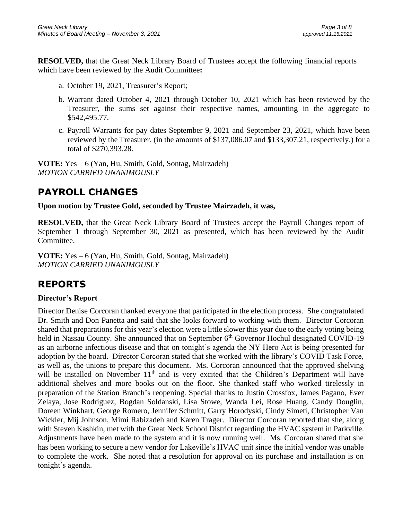**RESOLVED,** that the Great Neck Library Board of Trustees accept the following financial reports which have been reviewed by the Audit Committee**:** 

- a. October 19, 2021, Treasurer's Report;
- b. Warrant dated October 4, 2021 through October 10, 2021 which has been reviewed by the Treasurer, the sums set against their respective names, amounting in the aggregate to \$542,495.77.
- c. Payroll Warrants for pay dates September 9, 2021 and September 23, 2021, which have been reviewed by the Treasurer, (in the amounts of \$137,086.07 and \$133,307.21, respectively,) for a total of \$270,393.28.

**VOTE:** Yes – 6 (Yan, Hu, Smith, Gold, Sontag, Mairzadeh) *MOTION CARRIED UNANIMOUSLY* 

# **PAYROLL CHANGES**

**Upon motion by Trustee Gold, seconded by Trustee Mairzadeh, it was,**

**RESOLVED,** that the Great Neck Library Board of Trustees accept the Payroll Changes report of September 1 through September 30, 2021 as presented, which has been reviewed by the Audit Committee.

**VOTE:** Yes – 6 (Yan, Hu, Smith, Gold, Sontag, Mairzadeh) *MOTION CARRIED UNANIMOUSLY* 

## **REPORTS**

### **Director's Report**

Director Denise Corcoran thanked everyone that participated in the election process. She congratulated Dr. Smith and Don Panetta and said that she looks forward to working with them. Director Corcoran shared that preparations for this year's election were a little slower this year due to the early voting being held in Nassau County. She announced that on September 6<sup>th</sup> Governor Hochul designated COVID-19 as an airborne infectious disease and that on tonight's agenda the NY Hero Act is being presented for adoption by the board. Director Corcoran stated that she worked with the library's COVID Task Force, as well as, the unions to prepare this document. Ms. Corcoran announced that the approved shelving will be installed on November 11<sup>th</sup> and is very excited that the Children's Department will have additional shelves and more books out on the floor. She thanked staff who worked tirelessly in preparation of the Station Branch's reopening. Special thanks to Justin Crossfox, James Pagano, Ever Zelaya, Jose Rodriguez, Bogdan Soldanski, Lisa Stowe, Wanda Lei, Rose Huang, Candy Douglin, Doreen Winkhart, George Romero, Jennifer Schmitt, Garry Horodyski, Cindy Simeti, Christopher Van Wickler, Mij Johnson, Mimi Rabizadeh and Karen Trager. Director Corcoran reported that she, along with Steven Kashkin, met with the Great Neck School District regarding the HVAC system in Parkville. Adjustments have been made to the system and it is now running well. Ms. Corcoran shared that she has been working to secure a new vendor for Lakeville's HVAC unit since the initial vendor was unable to complete the work. She noted that a resolution for approval on its purchase and installation is on tonight's agenda.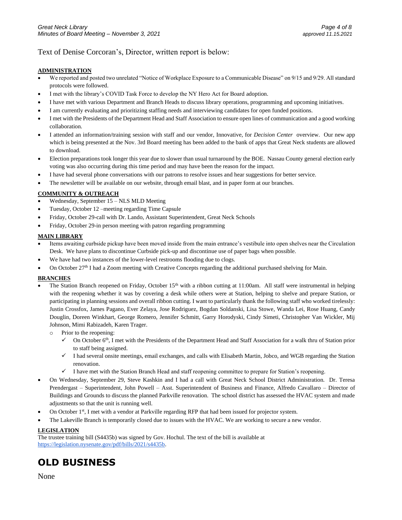#### Text of Denise Corcoran's, Director, written report is below:

#### **ADMINISTRATION**

- We reported and posted two unrelated "Notice of Workplace Exposure to a Communicable Disease" on 9/15 and 9/29. All standard protocols were followed.
- I met with the library's COVID Task Force to develop the NY Hero Act for Board adoption.
- I have met with various Department and Branch Heads to discuss library operations, programming and upcoming initiatives.
- I am currently evaluating and prioritizing staffing needs and interviewing candidates for open funded positions.
- I met with the Presidents of the Department Head and Staff Association to ensure open lines of communication and a good working collaboration.
- I attended an information/training session with staff and our vendor, Innovative, for *Decision Center* overview. Our new app which is being presented at the Nov. 3rd Board meeting has been added to the bank of apps that Great Neck students are allowed to download.
- Election preparations took longer this year due to slower than usual turnaround by the BOE. Nassau County general election early voting was also occurring during this time period and may have been the reason for the impact.
- I have had several phone conversations with our patrons to resolve issues and hear suggestions for better service.
- The newsletter will be available on our website, through email blast, and in paper form at our branches.

#### **COMMUNITY & OUTREACH**

- Wednesday, September 15 NLS MLD Meeting
- Tuesday, October 12 –meeting regarding Time Capsule
- Friday, October 29-call with Dr. Lando, Assistant Superintendent, Great Neck Schools
- Friday, October 29-in person meeting with patron regarding programming

#### **MAIN LIBRARY**

- Items awaiting curbside pickup have been moved inside from the main entrance's vestibule into open shelves near the Circulation Desk. We have plans to discontinue Curbside pick-up and discontinue use of paper bags when possible.
- We have had two instances of the lower-level restrooms flooding due to clogs.
- On October 27<sup>th</sup> I had a Zoom meeting with Creative Concepts regarding the additional purchased shelving for Main.

#### **BRANCHES**

- The Station Branch reopened on Friday, October  $15<sup>th</sup>$  with a ribbon cutting at 11:00am. All staff were instrumental in helping with the reopening whether it was by covering a desk while others were at Station, helping to shelve and prepare Station, or participating in planning sessions and overall ribbon cutting. I want to particularly thank the following staff who worked tirelessly: Justin Crossfox, James Pagano, Ever Zelaya, Jose Rodriguez, Bogdan Soldanski, Lisa Stowe, Wanda Lei, Rose Huang, Candy Douglin, Doreen Winkhart, George Romero, Jennifer Schmitt, Garry Horodyski, Cindy Simeti, Christopher Van Wickler, Mij Johnson, Mimi Rabizadeh, Karen Trager.
	- o Prior to the reopening:
		- $\checkmark$  On October 6<sup>th</sup>, I met with the Presidents of the Department Head and Staff Association for a walk thru of Station prior to staff being assigned.
		- ✓ I had several onsite meetings, email exchanges, and calls with Elisabeth Martin, Jobco, and WGB regarding the Station renovation.
		- ✓ I have met with the Station Branch Head and staff reopening committee to prepare for Station's reopening.
- On Wednesday, September 29, Steve Kashkin and I had a call with Great Neck School District Administration. Dr. Teresa Prendergast – Superintendent, John Powell – Asst. Superintendent of Business and Finance, Alfredo Cavallaro – Director of Buildings and Grounds to discuss the planned Parkville renovation. The school district has assessed the HVAC system and made adjustments so that the unit is running well.
- On October 1<sup>st</sup>, I met with a vendor at Parkville regarding RFP that had been issued for projector system.
- The Lakeville Branch is temporarily closed due to issues with the HVAC. We are working to secure a new vendor.

#### **LEGISLATION**

The trustee training bill (S4435b) was signed by Gov. Hochul. The text of the bill is available at [https://legislation.nysenate.gov/pdf/bills/2021/s4435b.](https://legislation.nysenate.gov/pdf/bills/2021/s4435b)

## **OLD BUSINESS**

None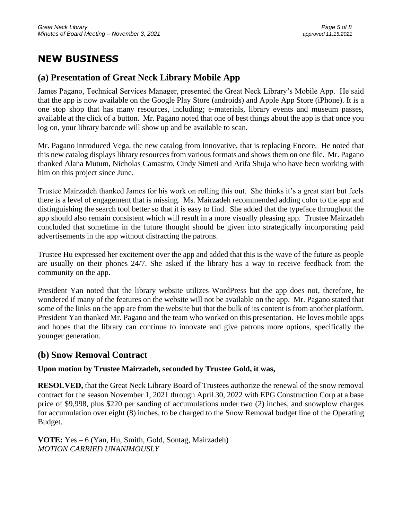## **NEW BUSINESS**

## **(a) Presentation of Great Neck Library Mobile App**

James Pagano, Technical Services Manager, presented the Great Neck Library's Mobile App. He said that the app is now available on the Google Play Store (androids) and Apple App Store (iPhone). It is a one stop shop that has many resources, including; e-materials, library events and museum passes, available at the click of a button. Mr. Pagano noted that one of best things about the app is that once you log on, your library barcode will show up and be available to scan.

Mr. Pagano introduced Vega, the new catalog from Innovative, that is replacing Encore. He noted that this new catalog displays library resources from various formats and shows them on one file. Mr. Pagano thanked Alana Mutum, Nicholas Camastro, Cindy Simeti and Arifa Shuja who have been working with him on this project since June.

Trustee Mairzadeh thanked James for his work on rolling this out. She thinks it's a great start but feels there is a level of engagement that is missing. Ms. Mairzadeh recommended adding color to the app and distinguishing the search tool better so that it is easy to find. She added that the typeface throughout the app should also remain consistent which will result in a more visually pleasing app. Trustee Mairzadeh concluded that sometime in the future thought should be given into strategically incorporating paid advertisements in the app without distracting the patrons.

Trustee Hu expressed her excitement over the app and added that this is the wave of the future as people are usually on their phones 24/7. She asked if the library has a way to receive feedback from the community on the app.

President Yan noted that the library website utilizes WordPress but the app does not, therefore, he wondered if many of the features on the website will not be available on the app. Mr. Pagano stated that some of the links on the app are from the website but that the bulk of its content is from another platform. President Yan thanked Mr. Pagano and the team who worked on this presentation. He loves mobile apps and hopes that the library can continue to innovate and give patrons more options, specifically the younger generation.

### **(b) Snow Removal Contract**

### **Upon motion by Trustee Mairzadeh, seconded by Trustee Gold, it was,**

**RESOLVED,** that the Great Neck Library Board of Trustees authorize the renewal of the snow removal contract for the season November 1, 2021 through April 30, 2022 with EPG Construction Corp at a base price of \$9,998, plus \$220 per sanding of accumulations under two (2) inches, and snowplow charges for accumulation over eight (8) inches, to be charged to the Snow Removal budget line of the Operating Budget.

**VOTE:** Yes – 6 (Yan, Hu, Smith, Gold, Sontag, Mairzadeh) *MOTION CARRIED UNANIMOUSLY*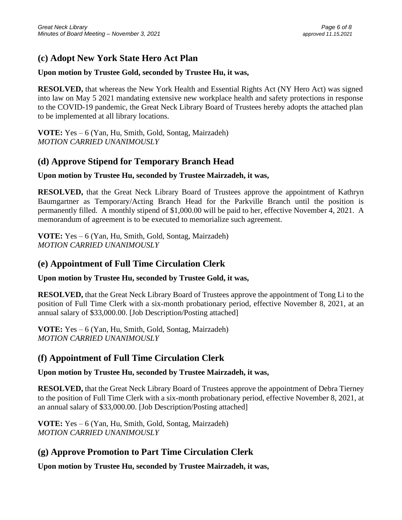## **(c) Adopt New York State Hero Act Plan**

#### **Upon motion by Trustee Gold, seconded by Trustee Hu, it was,**

**RESOLVED,** that whereas the New York Health and Essential Rights Act (NY Hero Act) was signed into law on May 5 2021 mandating extensive new workplace health and safety protections in response to the COVID-19 pandemic, the Great Neck Library Board of Trustees hereby adopts the attached plan to be implemented at all library locations.

**VOTE:** Yes – 6 (Yan, Hu, Smith, Gold, Sontag, Mairzadeh) *MOTION CARRIED UNANIMOUSLY*

## **(d) Approve Stipend for Temporary Branch Head**

### **Upon motion by Trustee Hu, seconded by Trustee Mairzadeh, it was,**

**RESOLVED,** that the Great Neck Library Board of Trustees approve the appointment of Kathryn Baumgartner as Temporary/Acting Branch Head for the Parkville Branch until the position is permanently filled. A monthly stipend of \$1,000.00 will be paid to her, effective November 4, 2021. A memorandum of agreement is to be executed to memorialize such agreement.

**VOTE:** Yes – 6 (Yan, Hu, Smith, Gold, Sontag, Mairzadeh) *MOTION CARRIED UNANIMOUSLY*

### **(e) Appointment of Full Time Circulation Clerk**

#### **Upon motion by Trustee Hu, seconded by Trustee Gold, it was,**

**RESOLVED,** that the Great Neck Library Board of Trustees approve the appointment of Tong Li to the position of Full Time Clerk with a six-month probationary period, effective November 8, 2021, at an annual salary of \$33,000.00. [Job Description/Posting attached]

**VOTE:** Yes – 6 (Yan, Hu, Smith, Gold, Sontag, Mairzadeh) *MOTION CARRIED UNANIMOUSLY* 

### **(f) Appointment of Full Time Circulation Clerk**

### **Upon motion by Trustee Hu, seconded by Trustee Mairzadeh, it was,**

**RESOLVED,** that the Great Neck Library Board of Trustees approve the appointment of Debra Tierney to the position of Full Time Clerk with a six-month probationary period, effective November 8, 2021, at an annual salary of \$33,000.00. [Job Description/Posting attached]

**VOTE:** Yes – 6 (Yan, Hu, Smith, Gold, Sontag, Mairzadeh) *MOTION CARRIED UNANIMOUSLY* 

## **(g) Approve Promotion to Part Time Circulation Clerk**

**Upon motion by Trustee Hu, seconded by Trustee Mairzadeh, it was,**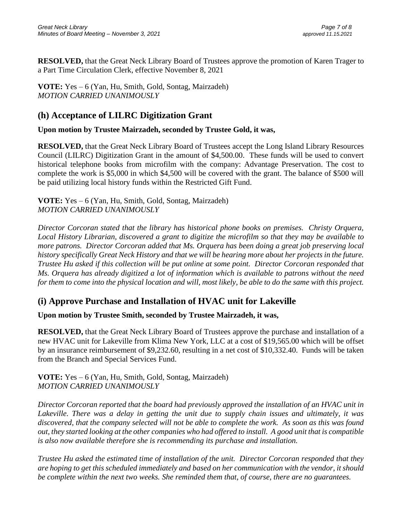**RESOLVED,** that the Great Neck Library Board of Trustees approve the promotion of Karen Trager to a Part Time Circulation Clerk, effective November 8, 2021

**VOTE:** Yes – 6 (Yan, Hu, Smith, Gold, Sontag, Mairzadeh) *MOTION CARRIED UNANIMOUSLY* 

## **(h) Acceptance of LILRC Digitization Grant**

### **Upon motion by Trustee Mairzadeh, seconded by Trustee Gold, it was,**

**RESOLVED,** that the Great Neck Library Board of Trustees accept the Long Island Library Resources Council (LILRC) Digitization Grant in the amount of \$4,500.00. These funds will be used to convert historical telephone books from microfilm with the company: Advantage Preservation. The cost to complete the work is \$5,000 in which \$4,500 will be covered with the grant. The balance of \$500 will be paid utilizing local history funds within the Restricted Gift Fund.

**VOTE:** Yes – 6 (Yan, Hu, Smith, Gold, Sontag, Mairzadeh) *MOTION CARRIED UNANIMOUSLY* 

*Director Corcoran stated that the library has historical phone books on premises. Christy Orquera, Local History Librarian, discovered a grant to digitize the microfilm so that they may be available to more patrons. Director Corcoran added that Ms. Orquera has been doing a great job preserving local history specifically Great Neck History and that we will be hearing more about her projects in the future. Trustee Hu asked if this collection will be put online at some point. Director Corcoran responded that Ms. Orquera has already digitized a lot of information which is available to patrons without the need for them to come into the physical location and will, most likely, be able to do the same with this project.*

## **(i) Approve Purchase and Installation of HVAC unit for Lakeville**

### **Upon motion by Trustee Smith, seconded by Trustee Mairzadeh, it was,**

**RESOLVED,** that the Great Neck Library Board of Trustees approve the purchase and installation of a new HVAC unit for Lakeville from Klima New York, LLC at a cost of \$19,565.00 which will be offset by an insurance reimbursement of \$9,232.60, resulting in a net cost of \$10,332.40. Funds will be taken from the Branch and Special Services Fund.

**VOTE:** Yes – 6 (Yan, Hu, Smith, Gold, Sontag, Mairzadeh) *MOTION CARRIED UNANIMOUSLY* 

*Director Corcoran reported that the board had previously approved the installation of an HVAC unit in Lakeville. There was a delay in getting the unit due to supply chain issues and ultimately, it was discovered, that the company selected will not be able to complete the work. As soon as this was found out, they started looking at the other companies who had offered to install. A good unit that is compatible is also now available therefore she is recommending its purchase and installation.*

*Trustee Hu asked the estimated time of installation of the unit. Director Corcoran responded that they are hoping to get this scheduled immediately and based on her communication with the vendor, it should be complete within the next two weeks. She reminded them that, of course, there are no guarantees.*